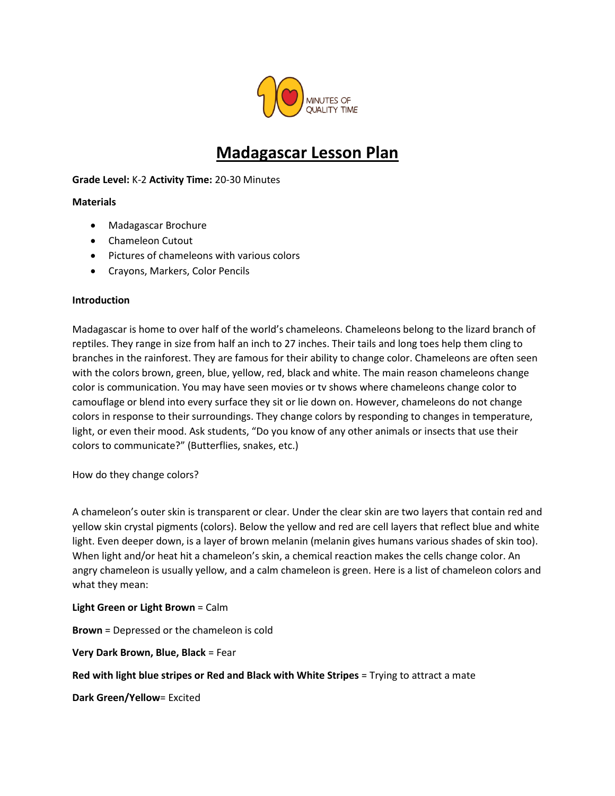

# **Madagascar Lesson Plan**

## **Grade Level:** K-2 **Activity Time:** 20-30 Minutes

## **Materials**

- Madagascar Brochure
- Chameleon Cutout
- Pictures of chameleons with various colors
- Crayons, Markers, Color Pencils

#### **Introduction**

Madagascar is home to over half of the world's chameleons. Chameleons belong to the lizard branch of reptiles. They range in size from half an inch to 27 inches. Their tails and long toes help them cling to branches in the rainforest. They are famous for their ability to change color. Chameleons are often seen with the colors brown, green, blue, yellow, red, black and white. The main reason chameleons change color is communication. You may have seen movies or tv shows where chameleons change color to camouflage or blend into every surface they sit or lie down on. However, chameleons do not change colors in response to their surroundings. They change colors by responding to changes in temperature, light, or even their mood. Ask students, "Do you know of any other animals or insects that use their colors to communicate?" (Butterflies, snakes, etc.)

How do they change colors?

A chameleon's outer skin is transparent or clear. Under the clear skin are two layers that contain red and yellow skin crystal pigments (colors). Below the yellow and red are cell layers that reflect blue and white light. Even deeper down, is a layer of brown melanin (melanin gives humans various shades of skin too). When light and/or heat hit a chameleon's skin, a chemical reaction makes the cells change color. An angry chameleon is usually yellow, and a calm chameleon is green. Here is a list of chameleon colors and what they mean:

#### **Light Green or Light Brown** = Calm

**Brown** = Depressed or the chameleon is cold

**Very Dark Brown, Blue, Black** = Fear

**Red with light blue stripes or Red and Black with White Stripes** = Trying to attract a mate

**Dark Green/Yellow**= Excited